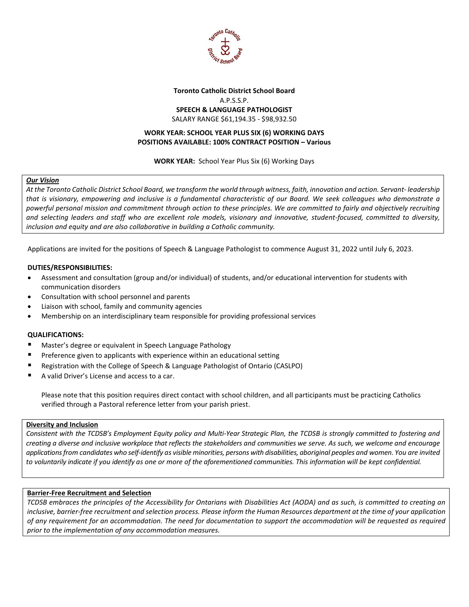

# **Toronto Catholic District School Board** A.P.S.S.P. **SPEECH & LANGUAGE PATHOLOGIST** SALARY RANGE \$61,194.35 - \$98,932.50

### **WORK YEAR: SCHOOL YEAR PLUS SIX (6) WORKING DAYS POSITIONS AVAILABLE: 100% CONTRACT POSITION – Various**

**WORK YEAR:** School Year Plus Six (6) Working Days

### *Our Vision*

*At the Toronto Catholic District School Board, we transform the world through witness, faith, innovation and action. Servant- leadership that is visionary, empowering and inclusive is a fundamental characteristic of our Board. We seek colleagues who demonstrate a powerful personal mission and commitment through action to these principles. We are committed to fairly and objectively recruiting and selecting leaders and staff who are excellent role models, visionary and innovative, student-focused, committed to diversity, inclusion and equity and are also collaborative in building a Catholic community.*

Applications are invited for the positions of Speech & Language Pathologist to commence August 31, 2022 until July 6, 2023.

### **DUTIES/RESPONSIBILITIES:**

- Assessment and consultation (group and/or individual) of students, and/or educational intervention for students with communication disorders
- Consultation with school personnel and parents
- Liaison with school, family and community agencies
- Membership on an interdisciplinary team responsible for providing professional services

#### **QUALIFICATIONS:**

- Master's degree or equivalent in Speech Language Pathology
- Preference given to applicants with experience within an educational setting
- Registration with the College of Speech & Language Pathologist of Ontario (CASLPO)
- A valid Driver's License and access to a car.

Please note that this position requires direct contact with school children, and all participants must be practicing Catholics verified through a Pastoral reference letter from your parish priest.

#### **Diversity and Inclusion**

*Consistent with the TCDSB's Employment Equity policy and Multi-Year Strategic Plan, the TCDSB is strongly committed to fostering and creating a diverse and inclusive workplace that reflects the stakeholders and communities we serve. As such, we welcome and encourage applications from candidates who self-identify as visible minorities, persons with disabilities, aboriginal peoples and women. You are invited to voluntarily indicate if you identify as one or more of the aforementioned communities. This information will be kept confidential.*

# **Barrier-Free Recruitment and Selection**

*TCDSB embraces the principles of the Accessibility for Ontarians with Disabilities Act (AODA) and as such, is committed to creating an inclusive, barrier-free recruitment and selection process. Please inform the Human Resources department at the time of your application of any requirement for an accommodation. The need for documentation to support the accommodation will be requested as required prior to the implementation of any accommodation measures.*